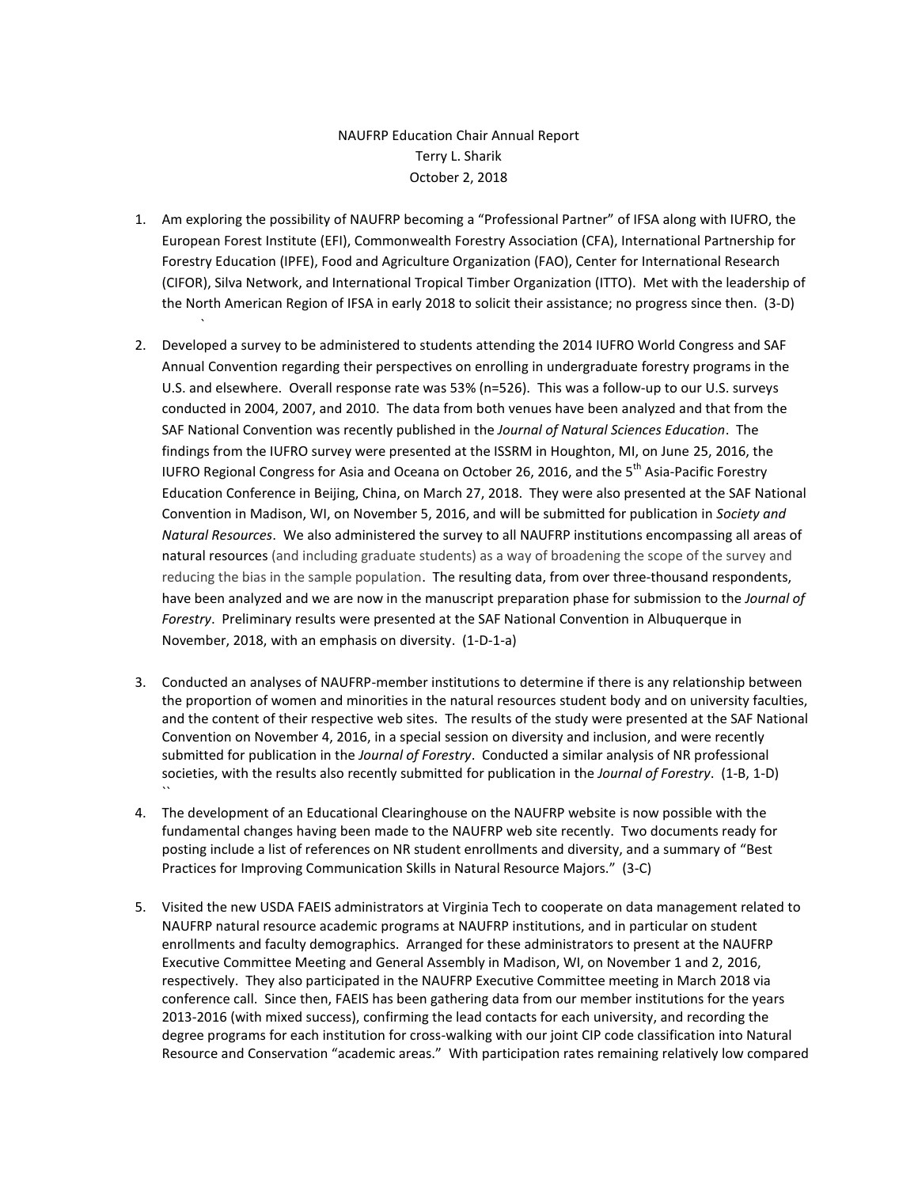## NAUFRP Education Chair Annual Report Terry L. Sharik October 2, 2018

1. Am exploring the possibility of NAUFRP becoming a "Professional Partner" of IFSA along with IUFRO, the European Forest Institute (EFI), Commonwealth Forestry Association (CFA), International Partnership for Forestry Education (IPFE), Food and Agriculture Organization (FAO), Center for International Research (CIFOR), Silva Network, and International Tropical Timber Organization (ITTO). Met with the leadership of the North American Region of IFSA in early 2018 to solicit their assistance; no progress since then. (3-D)

`

- 2. Developed a survey to be administered to students attending the 2014 IUFRO World Congress and SAF Annual Convention regarding their perspectives on enrolling in undergraduate forestry programs in the U.S. and elsewhere. Overall response rate was 53% (n=526). This was a follow-up to our U.S. surveys conducted in 2004, 2007, and 2010. The data from both venues have been analyzed and that from the SAF National Convention was recently published in the *Journal of Natural Sciences Education*. The findings from the IUFRO survey were presented at the ISSRM in Houghton, MI, on June 25, 2016, the IUFRO Regional Congress for Asia and Oceana on October 26, 2016, and the 5<sup>th</sup> Asia-Pacific Forestry Education Conference in Beijing, China, on March 27, 2018. They were also presented at the SAF National Convention in Madison, WI, on November 5, 2016, and will be submitted for publication in *Society and Natural Resources*. We also administered the survey to all NAUFRP institutions encompassing all areas of natural resources (and including graduate students) as a way of broadening the scope of the survey and reducing the bias in the sample population. The resulting data, from over three-thousand respondents, have been analyzed and we are now in the manuscript preparation phase for submission to the *Journal of Forestry*. Preliminary results were presented at the SAF National Convention in Albuquerque in November, 2018, with an emphasis on diversity. (1-D-1-a)
- 3. Conducted an analyses of NAUFRP-member institutions to determine if there is any relationship between the proportion of women and minorities in the natural resources student body and on university faculties, and the content of their respective web sites. The results of the study were presented at the SAF National Convention on November 4, 2016, in a special session on diversity and inclusion, and were recently submitted for publication in the *Journal of Forestry*. Conducted a similar analysis of NR professional societies, with the results also recently submitted for publication in the *Journal of Forestry*. (1-B, 1-D)  $\ddot{\phantom{0}}$
- 4. The development of an Educational Clearinghouse on the NAUFRP website is now possible with the fundamental changes having been made to the NAUFRP web site recently. Two documents ready for posting include a list of references on NR student enrollments and diversity, and a summary of "Best Practices for Improving Communication Skills in Natural Resource Majors." (3-C)
- 5. Visited the new USDA FAEIS administrators at Virginia Tech to cooperate on data management related to NAUFRP natural resource academic programs at NAUFRP institutions, and in particular on student enrollments and faculty demographics. Arranged for these administrators to present at the NAUFRP Executive Committee Meeting and General Assembly in Madison, WI, on November 1 and 2, 2016, respectively. They also participated in the NAUFRP Executive Committee meeting in March 2018 via conference call. Since then, FAEIS has been gathering data from our member institutions for the years 2013-2016 (with mixed success), confirming the lead contacts for each university, and recording the degree programs for each institution for cross-walking with our joint CIP code classification into Natural Resource and Conservation "academic areas." With participation rates remaining relatively low compared